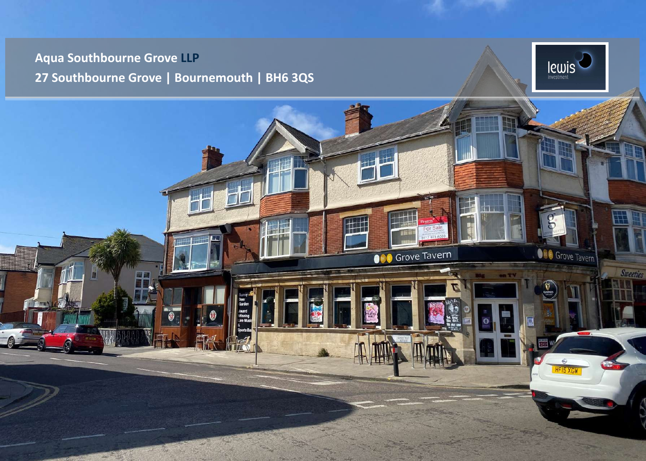## **Aqua Southbourne Grove LLP 27 Southbourne Grove | Bournemouth | BH6 3QS**



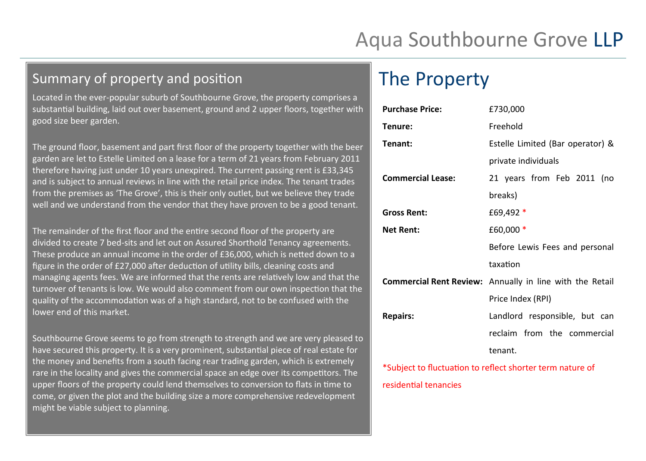# Aqua Southbourne Grove LLP

### Summary of property and position

Located in the ever-popular suburb of Southbourne Grove, the property comprises a substantial building, laid out over basement, ground and 2 upper floors, together with good size beer garden.

The ground floor, basement and part first floor of the property together with the beer garden are let to Estelle Limited on a lease for a term of 21 years from February 2011 therefore having just under 10 years unexpired. The current passing rent is £33,345 and is subject to annual reviews in line with the retail price index. The tenant trades from the premises as 'The Grove', this is their only outlet, but we believe they trade well and we understand from the vendor that they have proven to be a good tenant.

The remainder of the first floor and the entire second floor of the property are divided to create 7 bed-sits and let out on Assured Shorthold Tenancy agreements. These produce an annual income in the order of £36,000, which is netted down to a figure in the order of £27,000 after deduction of utility bills, cleaning costs and managing agents fees. We are informed that the rents are relatively low and that the turnover of tenants is low. We would also comment from our own inspection that the quality of the accommodation was of a high standard, not to be confused with the lower end of this market.

Southbourne Grove seems to go from strength to strength and we are very pleased to have secured this property. It is a very prominent, substantial piece of real estate for the money and benefits from a south facing rear trading garden, which is extremely rare in the locality and gives the commercial space an edge over its competitors. The upper floors of the property could lend themselves to conversion to flats in time to come, or given the plot and the building size a more comprehensive redevelopment might be viable subject to planning.

## The Property

| <b>Purchase Price:</b>   | £730,000                                                                                                      |  |
|--------------------------|---------------------------------------------------------------------------------------------------------------|--|
| Tenure:                  | Freehold                                                                                                      |  |
| <b>Tenant:</b>           | Estelle Limited (Bar operator) &                                                                              |  |
|                          | private individuals                                                                                           |  |
| <b>Commercial Lease:</b> | 21 years from Feb 2011 (no                                                                                    |  |
|                          | breaks)                                                                                                       |  |
| <b>Gross Rent:</b>       | £69,492 *                                                                                                     |  |
| <b>Net Rent:</b>         | £60,000 *                                                                                                     |  |
|                          | Before Lewis Fees and personal<br>taxation<br><b>Commercial Rent Review:</b> Annually in line with the Retail |  |
|                          |                                                                                                               |  |
|                          |                                                                                                               |  |
|                          | Price Index (RPI)                                                                                             |  |
| <b>Repairs:</b>          | Landlord responsible, but can                                                                                 |  |
|                          | reclaim from the commercial                                                                                   |  |
|                          | tenant.                                                                                                       |  |
|                          |                                                                                                               |  |

\*Subject to fluctuation to reflect shorter term nature of residential tenancies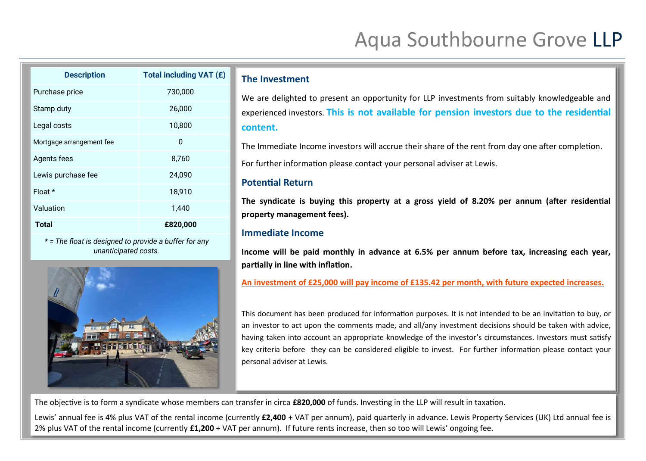# Aqua Southbourne Grove LLP

| <b>Description</b>       | Total including VAT (£) |
|--------------------------|-------------------------|
| Purchase price           | 730,000                 |
| Stamp duty               | 26,000                  |
| Legal costs              | 10,800                  |
| Mortgage arrangement fee | 0                       |
| Agents fees              | 8,760                   |
| Lewis purchase fee       | 24,090                  |
| Float $*$                | 18,910                  |
| Valuation                | 1,440                   |
| <b>Total</b>             | £820,000                |

*\* = The float is designed to provide a buffer for any unanticipated costs.*



#### **The Investment**

We are delighted to present an opportunity for LLP investments from suitably knowledgeable and experienced investors. **This is not available for pension investors due to the residential content.**

The Immediate Income investors will accrue their share of the rent from day one after completion.

For further information please contact your personal adviser at Lewis.

#### **Potential Return**

**The syndicate is buying this property at a gross yield of 8.20% per annum (after residential property management fees).**

#### **Immediate Income**

**Income will be paid monthly in advance at 6.5% per annum before tax, increasing each year, partially in line with inflation.**

#### **An investment of £25,000 will pay income of £135.42 per month, with future expected increases.**

This document has been produced for information purposes. It is not intended to be an invitation to buy, or an investor to act upon the comments made, and all/any investment decisions should be taken with advice, having taken into account an appropriate knowledge of the investor's circumstances. Investors must satisfy key criteria before they can be considered eligible to invest. For further information please contact your personal adviser at Lewis.

The objective is to form a syndicate whose members can transfer in circa **£820,000** of funds. Investing in the LLP will result in taxation.

Lewis' annual fee is 4% plus VAT of the rental income (currently **£2,400** + VAT per annum), paid quarterly in advance. Lewis Property Services (UK) Ltd annual fee is 2% plus VAT of the rental income (currently **£1,200** + VAT per annum). If future rents increase, then so too will Lewis' ongoing fee.